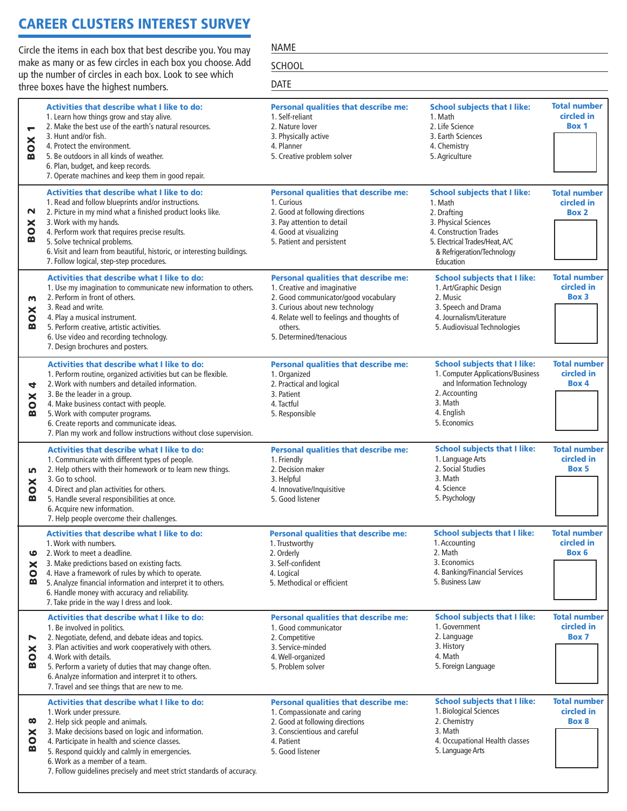## CAREER CLUSTERS INTEREST SURVEY

Circle the items in each box that best describe you. You may make as many or as few circles in each box you choose. Add up the number of circles in each box. Look to see which three boxes have the highest numbers.

NAME **SCHOOL** 

|                                                  | up the number of circles in each box. Look to see which<br>three boxes have the highest numbers.                                                                                                                                                                                                                                                                                                        | <b>DATE</b>                                                                                                                                                                                                                               |                                                                                                                                                                                              |                                                   |
|--------------------------------------------------|---------------------------------------------------------------------------------------------------------------------------------------------------------------------------------------------------------------------------------------------------------------------------------------------------------------------------------------------------------------------------------------------------------|-------------------------------------------------------------------------------------------------------------------------------------------------------------------------------------------------------------------------------------------|----------------------------------------------------------------------------------------------------------------------------------------------------------------------------------------------|---------------------------------------------------|
| $\overline{\phantom{0}}$<br><b>BOX</b>           | <b>Activities that describe what I like to do:</b><br>1. Learn how things grow and stay alive.<br>2. Make the best use of the earth's natural resources.<br>3. Hunt and/or fish.<br>4. Protect the environment.<br>5. Be outdoors in all kinds of weather.<br>6. Plan, budget, and keep records.<br>7. Operate machines and keep them in good repair.                                                   | <b>Personal qualities that describe me:</b><br>1. Self-reliant<br>2. Nature lover<br>3. Physically active<br>4. Planner<br>5. Creative problem solver                                                                                     | <b>School subjects that I like:</b><br>1. Math<br>2. Life Science<br>3. Earth Sciences<br>4. Chemistry<br>5. Agriculture                                                                     | <b>Total number</b><br>circled in<br><b>Box 1</b> |
| $\mathbf{\mathsf{N}}$<br>$\mathsf{X}$<br>B       | <b>Activities that describe what I like to do:</b><br>1. Read and follow blueprints and/or instructions.<br>2. Picture in my mind what a finished product looks like.<br>3. Work with my hands.<br>4. Perform work that requires precise results.<br>5. Solve technical problems.<br>6. Visit and learn from beautiful, historic, or interesting buildings.<br>7. Follow logical, step-step procedures. | <b>Personal qualities that describe me:</b><br>1. Curious<br>2. Good at following directions<br>3. Pay attention to detail<br>4. Good at visualizing<br>5. Patient and persistent                                                         | <b>School subjects that I like:</b><br>1. Math<br>2. Drafting<br>3. Physical Sciences<br>4. Construction Trades<br>5. Electrical Trades/Heat, A/C<br>& Refrigeration/Technology<br>Education | <b>Total number</b><br>circled in<br><b>Box 2</b> |
| m<br>$\mathsf{X}$<br>m                           | <b>Activities that describe what I like to do:</b><br>1. Use my imagination to communicate new information to others.<br>2. Perform in front of others.<br>3. Read and write.<br>4. Play a musical instrument.<br>5. Perform creative, artistic activities.<br>6. Use video and recording technology.<br>7. Design brochures and posters.                                                               | <b>Personal qualities that describe me:</b><br>1. Creative and imaginative<br>2. Good communicator/good vocabulary<br>3. Curious about new technology<br>4. Relate well to feelings and thoughts of<br>others.<br>5. Determined/tenacious | <b>School subjects that I like:</b><br>1. Art/Graphic Design<br>2. Music<br>3. Speech and Drama<br>4. Journalism/Literature<br>5. Audiovisual Technologies                                   | <b>Total number</b><br>circled in<br><b>Box 3</b> |
| 4<br>$\mathsf{X}$<br>m                           | Activities that describe what I like to do:<br>1. Perform routine, organized activities but can be flexible.<br>2. Work with numbers and detailed information.<br>3. Be the leader in a group.<br>4. Make business contact with people.<br>5. Work with computer programs.<br>6. Create reports and communicate ideas.<br>7. Plan my work and follow instructions without close supervision.            | <b>Personal qualities that describe me:</b><br>1. Organized<br>2. Practical and logical<br>3. Patient<br>4. Tactful<br>5. Responsible                                                                                                     | <b>School subjects that I like:</b><br>1. Computer Applications/Business<br>and Information Technology<br>2. Accounting<br>3. Math<br>4. English<br>5. Economics                             | <b>Total number</b><br>circled in<br>Box 4        |
| m<br>$\mathsf{x}$<br>$\ddot{\bullet}$<br>≃       | Activities that describe what I like to do:<br>1. Communicate with different types of people.<br>2. Help others with their homework or to learn new things.<br>3. Go to school.<br>4. Direct and plan activities for others.<br>5. Handle several responsibilities at once.<br>6. Acquire new information.<br>7. Help people overcome their challenges.                                                 | <b>Personal qualities that describe me:</b><br>1. Friendly<br>2. Decision maker<br>3. Helpful<br>4. Innovative/Inquisitive<br>5. Good listener                                                                                            | <b>School subjects that I like:</b><br>1. Language Arts<br>2. Social Studies<br>3. Math<br>4. Science<br>5. Psychology                                                                       | <b>Total number</b><br>circled in<br>Box 5        |
| ဖ<br>×<br>0<br>≃                                 | <b>Activities that describe what I like to do:</b><br>1. Work with numbers.<br>2. Work to meet a deadline.<br>3. Make predictions based on existing facts.<br>4. Have a framework of rules by which to operate.<br>5. Analyze financial information and interpret it to others.<br>6. Handle money with accuracy and reliability.<br>7. Take pride in the way I dress and look.                         | <b>Personal qualities that describe me:</b><br>1. Trustworthy<br>2. Orderly<br>3. Self-confident<br>4. Logical<br>5. Methodical or efficient                                                                                              | <b>School subjects that I like:</b><br>1. Accounting<br>2. Math<br>3. Economics<br>4. Banking/Financial Services<br>5. Business Law                                                          | <b>Total number</b><br>circled in<br>Box 6        |
| N<br>$\boldsymbol{\mathsf{x}}$<br>$\bullet$<br>≃ | Activities that describe what I like to do:<br>1. Be involved in politics.<br>2. Negotiate, defend, and debate ideas and topics.<br>3. Plan activities and work cooperatively with others.<br>4. Work with details.<br>5. Perform a variety of duties that may change often.<br>6. Analyze information and interpret it to others.<br>7. Travel and see things that are new to me.                      | <b>Personal qualities that describe me:</b><br>1. Good communicator<br>2. Competitive<br>3. Service-minded<br>4. Well-organized<br>5. Problem solver                                                                                      | <b>School subjects that I like:</b><br>1. Government<br>2. Language<br>3. History<br>4. Math<br>5. Foreign Language                                                                          | <b>Total number</b><br>circled in<br><b>Box 7</b> |
| $\infty$<br>$\mathsf{x}$<br>$\bullet$<br>≃       | <b>Activities that describe what I like to do:</b><br>1. Work under pressure.<br>2. Help sick people and animals.<br>3. Make decisions based on logic and information.<br>4. Participate in health and science classes.<br>5. Respond quickly and calmly in emergencies.<br>6. Work as a member of a team.<br>7. Follow guidelines precisely and meet strict standards of accuracy.                     | <b>Personal qualities that describe me:</b><br>1. Compassionate and caring<br>2. Good at following directions<br>3. Conscientious and careful<br>4. Patient<br>5. Good listener                                                           | <b>School subjects that I like:</b><br>1. Biological Sciences<br>2. Chemistry<br>3. Math<br>4. Occupational Health classes<br>5. Language Arts                                               | <b>Total number</b><br>circled in<br>Box 8        |